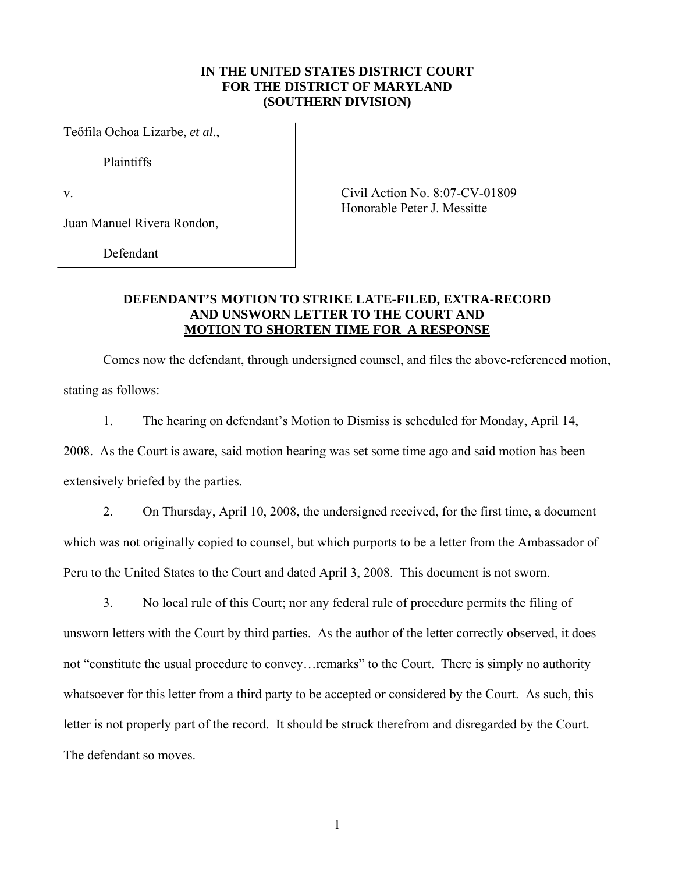## **IN THE UNITED STATES DISTRICT COURT FOR THE DISTRICT OF MARYLAND (SOUTHERN DIVISION)**

Teőfila Ochoa Lizarbe, *et al*.,

Plaintiffs

Juan Manuel Rivera Rondon,

Defendant

v. Civil Action No. 8:07-CV-01809 Honorable Peter J. Messitte

## **DEFENDANT'S MOTION TO STRIKE LATE-FILED, EXTRA-RECORD AND UNSWORN LETTER TO THE COURT AND MOTION TO SHORTEN TIME FOR A RESPONSE**

Comes now the defendant, through undersigned counsel, and files the above-referenced motion, stating as follows:

1. The hearing on defendant's Motion to Dismiss is scheduled for Monday, April 14,

2008. As the Court is aware, said motion hearing was set some time ago and said motion has been extensively briefed by the parties.

2. On Thursday, April 10, 2008, the undersigned received, for the first time, a document which was not originally copied to counsel, but which purports to be a letter from the Ambassador of Peru to the United States to the Court and dated April 3, 2008. This document is not sworn.

3. No local rule of this Court; nor any federal rule of procedure permits the filing of unsworn letters with the Court by third parties. As the author of the letter correctly observed, it does not "constitute the usual procedure to convey…remarks" to the Court. There is simply no authority whatsoever for this letter from a third party to be accepted or considered by the Court. As such, this letter is not properly part of the record. It should be struck therefrom and disregarded by the Court. The defendant so moves.

1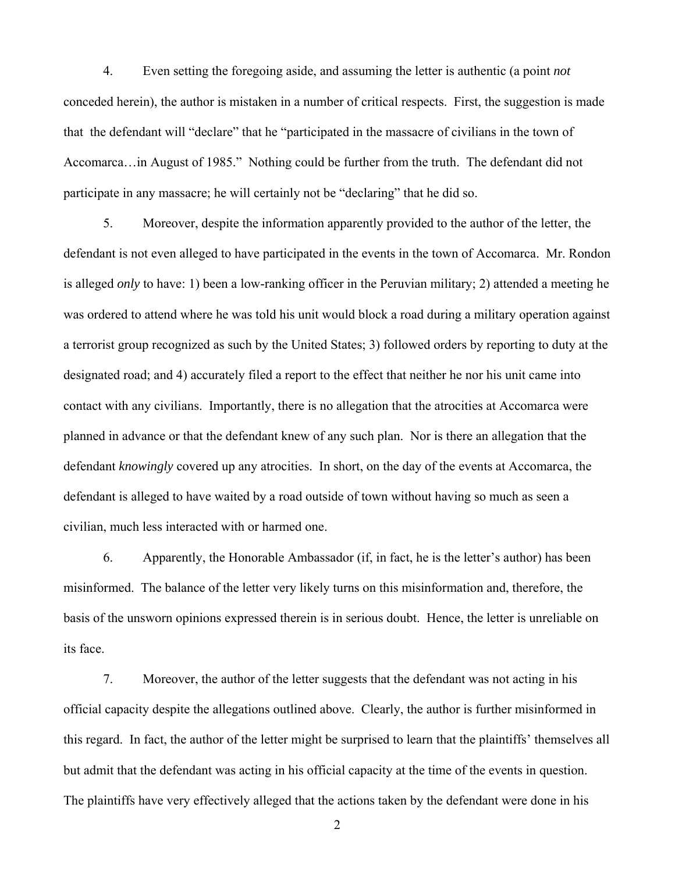4. Even setting the foregoing aside, and assuming the letter is authentic (a point *not*  conceded herein), the author is mistaken in a number of critical respects. First, the suggestion is made that the defendant will "declare" that he "participated in the massacre of civilians in the town of Accomarca…in August of 1985." Nothing could be further from the truth. The defendant did not participate in any massacre; he will certainly not be "declaring" that he did so.

5. Moreover, despite the information apparently provided to the author of the letter, the defendant is not even alleged to have participated in the events in the town of Accomarca. Mr. Rondon is alleged *only* to have: 1) been a low-ranking officer in the Peruvian military; 2) attended a meeting he was ordered to attend where he was told his unit would block a road during a military operation against a terrorist group recognized as such by the United States; 3) followed orders by reporting to duty at the designated road; and 4) accurately filed a report to the effect that neither he nor his unit came into contact with any civilians. Importantly, there is no allegation that the atrocities at Accomarca were planned in advance or that the defendant knew of any such plan. Nor is there an allegation that the defendant *knowingly* covered up any atrocities. In short, on the day of the events at Accomarca, the defendant is alleged to have waited by a road outside of town without having so much as seen a civilian, much less interacted with or harmed one.

6. Apparently, the Honorable Ambassador (if, in fact, he is the letter's author) has been misinformed. The balance of the letter very likely turns on this misinformation and, therefore, the basis of the unsworn opinions expressed therein is in serious doubt. Hence, the letter is unreliable on its face.

7. Moreover, the author of the letter suggests that the defendant was not acting in his official capacity despite the allegations outlined above. Clearly, the author is further misinformed in this regard. In fact, the author of the letter might be surprised to learn that the plaintiffs' themselves all but admit that the defendant was acting in his official capacity at the time of the events in question. The plaintiffs have very effectively alleged that the actions taken by the defendant were done in his

2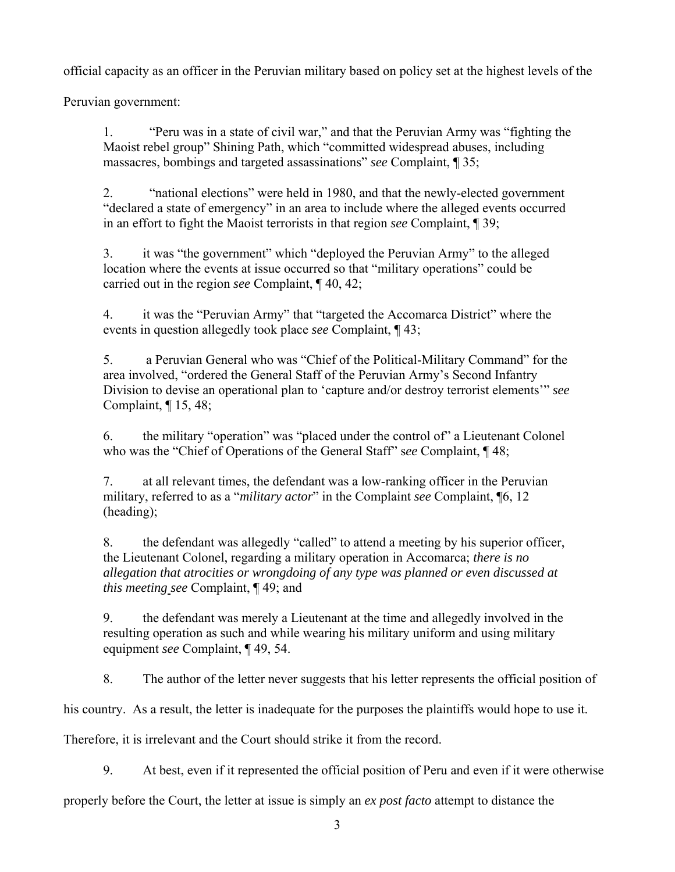official capacity as an officer in the Peruvian military based on policy set at the highest levels of the

Peruvian government:

1. "Peru was in a state of civil war," and that the Peruvian Army was "fighting the Maoist rebel group" Shining Path, which "committed widespread abuses, including massacres, bombings and targeted assassinations" *see* Complaint, ¶ 35;

2. "national elections" were held in 1980, and that the newly-elected government "declared a state of emergency" in an area to include where the alleged events occurred in an effort to fight the Maoist terrorists in that region *see* Complaint, ¶ 39;

3. it was "the government" which "deployed the Peruvian Army" to the alleged location where the events at issue occurred so that "military operations" could be carried out in the region *see* Complaint, ¶ 40, 42;

4. it was the "Peruvian Army" that "targeted the Accomarca District" where the events in question allegedly took place *see* Complaint, ¶ 43;

5. a Peruvian General who was "Chief of the Political-Military Command" for the area involved, "ordered the General Staff of the Peruvian Army's Second Infantry Division to devise an operational plan to 'capture and/or destroy terrorist elements'" *see* Complaint, ¶ 15, 48;

6. the military "operation" was "placed under the control of" a Lieutenant Colonel who was the "Chief of Operations of the General Staff" s*ee* Complaint, ¶ 48;

7. at all relevant times, the defendant was a low-ranking officer in the Peruvian military, referred to as a "*military actor*" in the Complaint *see* Complaint, ¶6, 12 (heading);

8. the defendant was allegedly "called" to attend a meeting by his superior officer, the Lieutenant Colonel, regarding a military operation in Accomarca; *there is no allegation that atrocities or wrongdoing of any type was planned or even discussed at this meeting see* Complaint, ¶ 49; and

9. the defendant was merely a Lieutenant at the time and allegedly involved in the resulting operation as such and while wearing his military uniform and using military equipment *see* Complaint, ¶ 49, 54.

8. The author of the letter never suggests that his letter represents the official position of

his country. As a result, the letter is inadequate for the purposes the plaintiffs would hope to use it.

Therefore, it is irrelevant and the Court should strike it from the record.

9. At best, even if it represented the official position of Peru and even if it were otherwise

properly before the Court, the letter at issue is simply an *ex post facto* attempt to distance the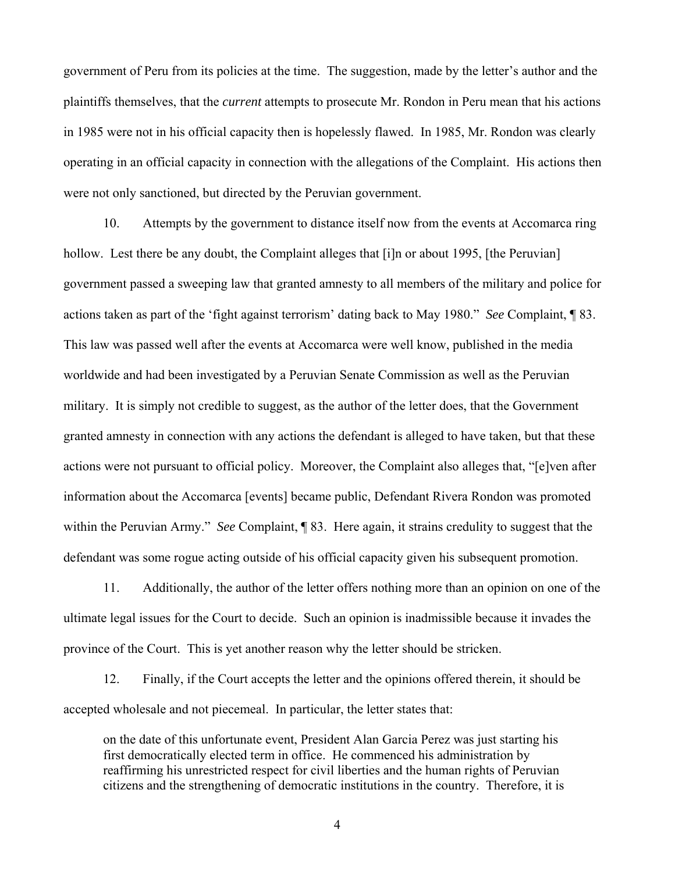government of Peru from its policies at the time. The suggestion, made by the letter's author and the plaintiffs themselves, that the *current* attempts to prosecute Mr. Rondon in Peru mean that his actions in 1985 were not in his official capacity then is hopelessly flawed. In 1985, Mr. Rondon was clearly operating in an official capacity in connection with the allegations of the Complaint. His actions then were not only sanctioned, but directed by the Peruvian government.

10. Attempts by the government to distance itself now from the events at Accomarca ring hollow. Lest there be any doubt, the Complaint alleges that [i]n or about 1995, [the Peruvian] government passed a sweeping law that granted amnesty to all members of the military and police for actions taken as part of the 'fight against terrorism' dating back to May 1980." *See* Complaint, ¶ 83. This law was passed well after the events at Accomarca were well know, published in the media worldwide and had been investigated by a Peruvian Senate Commission as well as the Peruvian military. It is simply not credible to suggest, as the author of the letter does, that the Government granted amnesty in connection with any actions the defendant is alleged to have taken, but that these actions were not pursuant to official policy. Moreover, the Complaint also alleges that, "[e]ven after information about the Accomarca [events] became public, Defendant Rivera Rondon was promoted within the Peruvian Army." *See* Complaint, ¶ 83. Here again, it strains credulity to suggest that the defendant was some rogue acting outside of his official capacity given his subsequent promotion.

11. Additionally, the author of the letter offers nothing more than an opinion on one of the ultimate legal issues for the Court to decide. Such an opinion is inadmissible because it invades the province of the Court. This is yet another reason why the letter should be stricken.

12. Finally, if the Court accepts the letter and the opinions offered therein, it should be accepted wholesale and not piecemeal. In particular, the letter states that:

on the date of this unfortunate event, President Alan Garcia Perez was just starting his first democratically elected term in office. He commenced his administration by reaffirming his unrestricted respect for civil liberties and the human rights of Peruvian citizens and the strengthening of democratic institutions in the country. Therefore, it is

4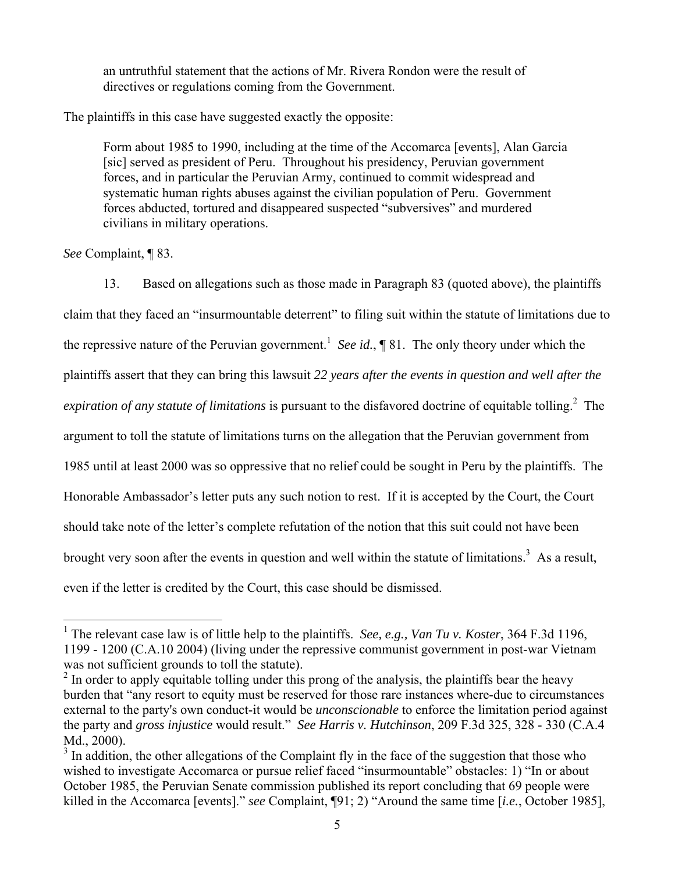an untruthful statement that the actions of Mr. Rivera Rondon were the result of directives or regulations coming from the Government.

The plaintiffs in this case have suggested exactly the opposite:

Form about 1985 to 1990, including at the time of the Accomarca [events], Alan Garcia [sic] served as president of Peru. Throughout his presidency, Peruvian government forces, and in particular the Peruvian Army, continued to commit widespread and systematic human rights abuses against the civilian population of Peru. Government forces abducted, tortured and disappeared suspected "subversives" and murdered civilians in military operations.

*See* Complaint, ¶ 83.

13. Based on allegations such as those made in Paragraph 83 (quoted above), the plaintiffs claim that they faced an "insurmountable deterrent" to filing suit within the statute of limitations due to the repressive nature of the Peruvian government.<sup>1</sup> See id.,  $\P$  81. The only theory under which the plaintiffs assert that they can bring this lawsuit *22 years after the events in question and well after the expiration of any statute of limitations* is pursuant to the disfavored doctrine of equitable tolling.<sup>2</sup> The argument to toll the statute of limitations turns on the allegation that the Peruvian government from 1985 until at least 2000 was so oppressive that no relief could be sought in Peru by the plaintiffs. The Honorable Ambassador's letter puts any such notion to rest. If it is accepted by the Court, the Court should take note of the letter's complete refutation of the notion that this suit could not have been brought very soon after the events in question and well within the statute of limitations.<sup>3</sup> As a result, even if the letter is credited by the Court, this case should be dismissed.

 1 The relevant case law is of little help to the plaintiffs. *See, e.g., Van Tu v. Koster*, 364 F.3d 1196, 1199 - 1200 (C.A.10 2004) (living under the repressive communist government in post-war Vietnam was not sufficient grounds to toll the statute).

 $2<sup>2</sup>$  In order to apply equitable tolling under this prong of the analysis, the plaintiffs bear the heavy burden that "any resort to equity must be reserved for those rare instances where-due to circumstances external to the party's own conduct-it would be *unconscionable* to enforce the limitation period against the party and *gross injustice* would result." *See Harris v. Hutchinson*, 209 F.3d 325, 328 - 330 (C.A.4 Md., 2000).

 $3$  In addition, the other allegations of the Complaint fly in the face of the suggestion that those who wished to investigate Accomarca or pursue relief faced "insurmountable" obstacles: 1) "In or about October 1985, the Peruvian Senate commission published its report concluding that 69 people were killed in the Accomarca [events]." *see* Complaint, ¶91; 2) "Around the same time [*i.e.*, October 1985],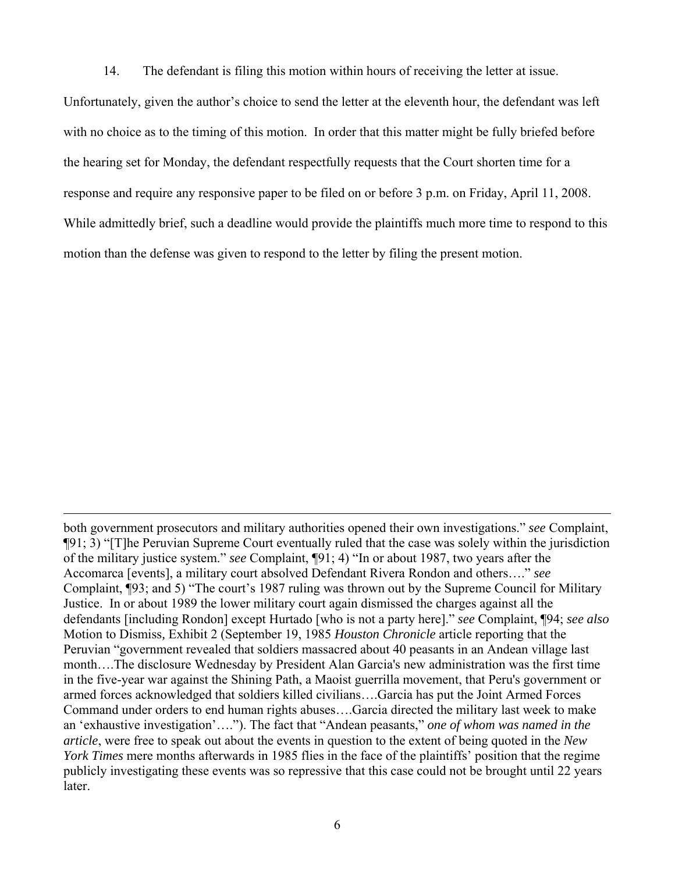14. The defendant is filing this motion within hours of receiving the letter at issue.

Unfortunately, given the author's choice to send the letter at the eleventh hour, the defendant was left with no choice as to the timing of this motion. In order that this matter might be fully briefed before the hearing set for Monday, the defendant respectfully requests that the Court shorten time for a response and require any responsive paper to be filed on or before 3 p.m. on Friday, April 11, 2008. While admittedly brief, such a deadline would provide the plaintiffs much more time to respond to this motion than the defense was given to respond to the letter by filing the present motion.

<u>.</u>

both government prosecutors and military authorities opened their own investigations." *see* Complaint, ¶91; 3) "[T]he Peruvian Supreme Court eventually ruled that the case was solely within the jurisdiction of the military justice system." *see* Complaint, ¶91; 4) "In or about 1987, two years after the Accomarca [events], a military court absolved Defendant Rivera Rondon and others…." *see* Complaint, ¶93; and 5) "The court's 1987 ruling was thrown out by the Supreme Council for Military Justice. In or about 1989 the lower military court again dismissed the charges against all the defendants [including Rondon] except Hurtado [who is not a party here]." *see* Complaint, ¶94; *see also*  Motion to Dismiss*,* Exhibit 2 (September 19, 1985 *Houston Chronicle* article reporting that the Peruvian "government revealed that soldiers massacred about 40 peasants in an Andean village last month….The disclosure Wednesday by President Alan Garcia's new administration was the first time in the five-year war against the Shining Path, a Maoist guerrilla movement, that Peru's government or armed forces acknowledged that soldiers killed civilians….Garcia has put the Joint Armed Forces Command under orders to end human rights abuses….Garcia directed the military last week to make an 'exhaustive investigation'…."). The fact that "Andean peasants," *one of whom was named in the article*, were free to speak out about the events in question to the extent of being quoted in the *New York Times* mere months afterwards in 1985 flies in the face of the plaintiffs' position that the regime publicly investigating these events was so repressive that this case could not be brought until 22 years later.